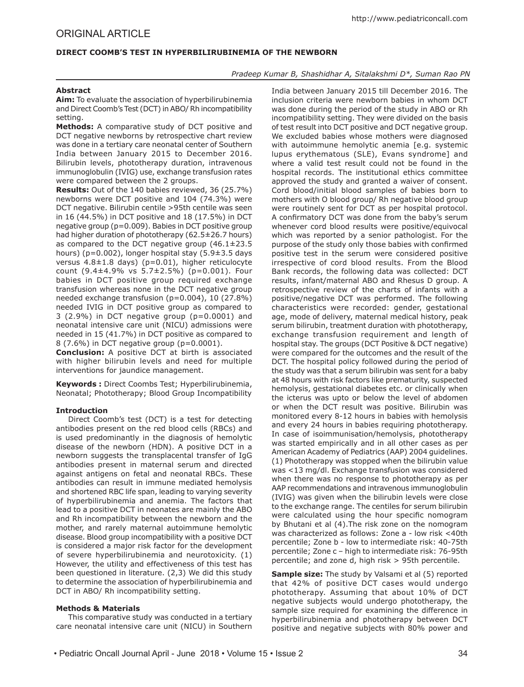# **DIRECT COOMB'S TEST IN HYPERBILIRUBINEMIA OF THE NEWBORN**

*Pradeep Kumar B, Shashidhar A, Sitalakshmi D\*, Suman Rao PN*

## **Abstract**

**Aim:** To evaluate the association of hyperbilirubinemia and Direct Coomb's Test (DCT) in ABO/ Rh incompatibility setting.

**Methods:** A comparative study of DCT positive and DCT negative newborns by retrospective chart review was done in a tertiary care neonatal center of Southern India between January 2015 to December 2016. Bilirubin levels, phototherapy duration, intravenous immunoglobulin (IVIG) use, exchange transfusion rates were compared between the 2 groups.

**Results:** Out of the 140 babies reviewed, 36 (25.7%) newborns were DCT positive and 104 (74.3%) were DCT negative. Bilirubin centile >95th centile was seen in 16 (44.5%) in DCT positive and 18 (17.5%) in DCT negative group (p=0.009). Babies in DCT positive group had higher duration of phototherapy (62.5±26.7 hours) as compared to the DCT negative group  $(46.1 \pm 23.5)$ hours) (p=0.002), longer hospital stay (5.9±3.5 days versus  $4.8 \pm 1.8$  days) (p=0.01), higher reticulocyte count (9.4±4.9% vs 5.7±2.5%) (p=0.001). Four babies in DCT positive group required exchange transfusion whereas none in the DCT negative group needed exchange transfusion (p=0.004), 10 (27.8%) needed IVIG in DCT positive group as compared to 3 (2.9%) in DCT negative group (p=0.0001) and neonatal intensive care unit (NICU) admissions were needed in 15 (41.7%) in DCT positive as compared to 8 (7.6%) in DCT negative group (p=0.0001).

**Conclusion:** A positive DCT at birth is associated with higher bilirubin levels and need for multiple interventions for jaundice management.

**Keywords :** Direct Coombs Test; Hyperbilirubinemia, Neonatal; Phototherapy; Blood Group Incompatibility

## **Introduction**

Direct Coomb's test (DCT) is a test for detecting antibodies present on the red blood cells (RBCs) and is used predominantly in the diagnosis of hemolytic disease of the newborn (HDN). A positive DCT in a newborn suggests the transplacental transfer of IgG antibodies present in maternal serum and directed against antigens on fetal and neonatal RBCs. These antibodies can result in immune mediated hemolysis and shortened RBC life span, leading to varying severity of hyperbilirubinemia and anemia. The factors that lead to a positive DCT in neonates are mainly the ABO and Rh incompatibility between the newborn and the mother, and rarely maternal autoimmune hemolytic disease. Blood group incompatibility with a positive DCT is considered a major risk factor for the development of severe hyperbilirubinemia and neurotoxicity. (1) However, the utility and effectiveness of this test has been questioned in literature. (2,3) We did this study to determine the association of hyperbilirubinemia and DCT in ABO/ Rh incompatibility setting.

## **Methods & Materials**

This comparative study was conducted in a tertiary care neonatal intensive care unit (NICU) in Southern

India between January 2015 till December 2016. The inclusion criteria were newborn babies in whom DCT was done during the period of the study in ABO or Rh incompatibility setting. They were divided on the basis of test result into DCT positive and DCT negative group. We excluded babies whose mothers were diagnosed with autoimmune hemolytic anemia [e.g. systemic lupus erythematous (SLE), Evans syndrome] and where a valid test result could not be found in the hospital records. The institutional ethics committee approved the study and granted a waiver of consent. Cord blood/initial blood samples of babies born to mothers with O blood group/ Rh negative blood group were routinely sent for DCT as per hospital protocol. A confirmatory DCT was done from the baby's serum whenever cord blood results were positive/equivocal which was reported by a senior pathologist. For the purpose of the study only those babies with confirmed positive test in the serum were considered positive irrespective of cord blood results. From the Blood Bank records, the following data was collected: DCT results, infant/maternal ABO and Rhesus D group. A retrospective review of the charts of infants with a positive/negative DCT was performed. The following characteristics were recorded: gender, gestational age, mode of delivery, maternal medical history, peak serum bilirubin, treatment duration with phototherapy, exchange transfusion requirement and length of hospital stay. The groups (DCT Positive & DCT negative) were compared for the outcomes and the result of the DCT. The hospital policy followed during the period of the study was that a serum bilirubin was sent for a baby at 48 hours with risk factors like prematurity, suspected hemolysis, gestational diabetes etc. or clinically when the icterus was upto or below the level of abdomen or when the DCT result was positive. Bilirubin was monitored every 8-12 hours in babies with hemolysis and every 24 hours in babies requiring phototherapy. In case of isoimmunisation/hemolysis, phototherapy was started empirically and in all other cases as per American Academy of Pediatrics (AAP) 2004 guidelines. (1) Phototherapy was stopped when the bilirubin value was <13 mg/dl. Exchange transfusion was considered when there was no response to phototherapy as per AAP recommendations and intravenous immunoglobulin (IVIG) was given when the bilirubin levels were close to the exchange range. The centiles for serum bilirubin were calculated using the hour specific nomogram by Bhutani et al (4).The risk zone on the nomogram was characterized as follows: Zone a - low risk <40th percentile; Zone b - low to intermediate risk: 40-75th percentile; Zone c – high to intermediate risk: 76-95th percentile; and zone d, high risk > 95th percentile.

**Sample size:** The study by Valsami et al (5) reported that 42% of positive DCT cases would undergo phototherapy. Assuming that about 10% of DCT negative subjects would undergo phototherapy, the sample size required for examining the difference in hyperbilirubinemia and phototherapy between DCT positive and negative subjects with 80% power and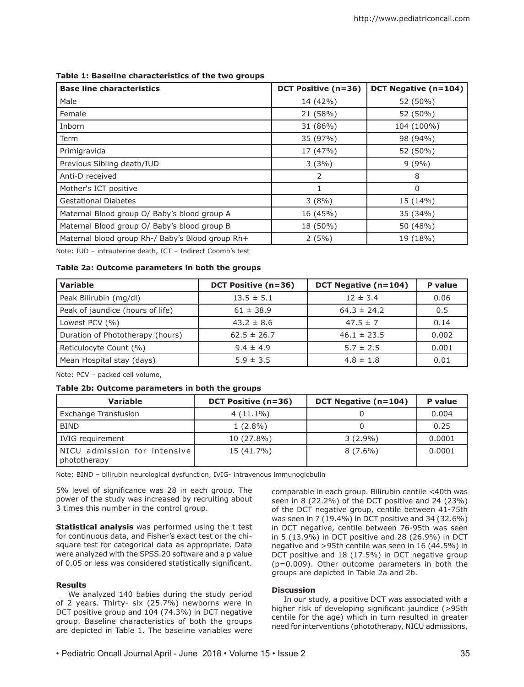| <b>Base line characteristics</b>                 | <b>DCT Positive (n=36)</b> | <b>DCT Negative (n=104)</b> |
|--------------------------------------------------|----------------------------|-----------------------------|
| Male                                             | 14 (42%)                   | 52 (50%)                    |
| Female                                           | 21 (58%)                   | 52 (50%)                    |
| Inborn                                           | 31 (86%)                   | 104 (100%)                  |
| Term                                             | 35 (97%)                   | 98 (94%)                    |
| Primigravida                                     | 17 (47%)                   | 52 (50%)                    |
| Previous Sibling death/IUD                       | 3(3%)                      | 9(9%)                       |
| Anti-D received                                  | $\overline{2}$             | 8                           |
| Mother's ICT positive                            |                            | 0                           |
| <b>Gestational Diabetes</b>                      | 3(8%)                      | 15 (14%)                    |
| Maternal Blood group O/ Baby's blood group A     | 16 (45%)                   | 35 (34%)                    |
| Maternal Blood group O/ Baby's blood group B     | 18 (50%)                   | 50 (48%)                    |
| Maternal blood group Rh-/ Baby's Blood group Rh+ | $2(5\%)$                   | 19 (18%)                    |

## **Table 1: Baseline characteristics of the two groups**

Note: IUD – intrauterine death, ICT – Indirect Coomb's test

# **Table 2a: Outcome parameters in both the groups**

| <b>Variable</b>                  | <b>DCT Positive (n=36)</b> | <b>DCT Negative (n=104)</b> | P value |
|----------------------------------|----------------------------|-----------------------------|---------|
| Peak Bilirubin (mg/dl)           | $13.5 \pm 5.1$             | $12 \pm 3.4$                | 0.06    |
| Peak of jaundice (hours of life) | $61 \pm 38.9$              | $64.3 \pm 24.2$             | 0.5     |
| Lowest PCV (%)                   | $43.2 \pm 8.6$             | $47.5 \pm 7$                | 0.14    |
| Duration of Phototherapy (hours) | $62.5 \pm 26.7$            | $46.1 \pm 23.5$             | 0.002   |
| Reticulocyte Count (%)           | $9.4 \pm 4.9$              | $5.7 \pm 2.5$               | 0.001   |
| Mean Hospital stay (days)        | $5.9 \pm 3.5$              | $4.8 \pm 1.8$               | 0.01    |

Note: PCV – packed cell volume,

## **Table 2b: Outcome parameters in both the groups**

| <b>Variable</b>                              | <b>DCT Positive (n=36)</b> | DCT Negative (n=104) | P value |
|----------------------------------------------|----------------------------|----------------------|---------|
| Exchange Transfusion                         | $4(11.1\%)$                |                      | 0.004   |
| <b>BIND</b>                                  | $1(2.8\%)$                 |                      | 0.25    |
| IVIG requirement                             | 10 (27.8%)                 | $3(2.9\%)$           | 0.0001  |
| NICU admission for intensive<br>phototherapy | 15 (41.7%)                 | $8(7.6\%)$           | 0.0001  |

Note: BIND – bilirubin neurological dysfunction, IVIG- intravenous immunoglobulin

5% level of significance was 28 in each group. The power of the study was increased by recruiting about 3 times this number in the control group.

**Statistical analysis** was performed using the t test for continuous data, and Fisher's exact test or the chisquare test for categorical data as appropriate. Data were analyzed with the SPSS.20 software and a p value of 0.05 or less was considered statistically significant.

## **Results**

We analyzed 140 babies during the study period of 2 years. Thirty- six (25.7%) newborns were in DCT positive group and 104 (74.3%) in DCT negative group. Baseline characteristics of both the groups are depicted in Table 1. The baseline variables were

comparable in each group. Bilirubin centile <40th was seen in 8 (22.2%) of the DCT positive and 24 (23%) of the DCT negative group, centile between 41-75th was seen in 7 (19.4%) in DCT positive and 34 (32.6%) in DCT negative, centile between 76-95th was seen in 5 (13.9%) in DCT positive and 28 (26.9%) in DCT negative and >95th centile was seen in 16 (44.5%) in DCT positive and 18 (17.5%) in DCT negative group (p=0.009). Other outcome parameters in both the groups are depicted in Table 2a and 2b.

#### **Discussion**

In our study, a positive DCT was associated with a higher risk of developing significant jaundice (>95th centile for the age) which in turn resulted in greater need for interventions (phototherapy, NICU admissions,